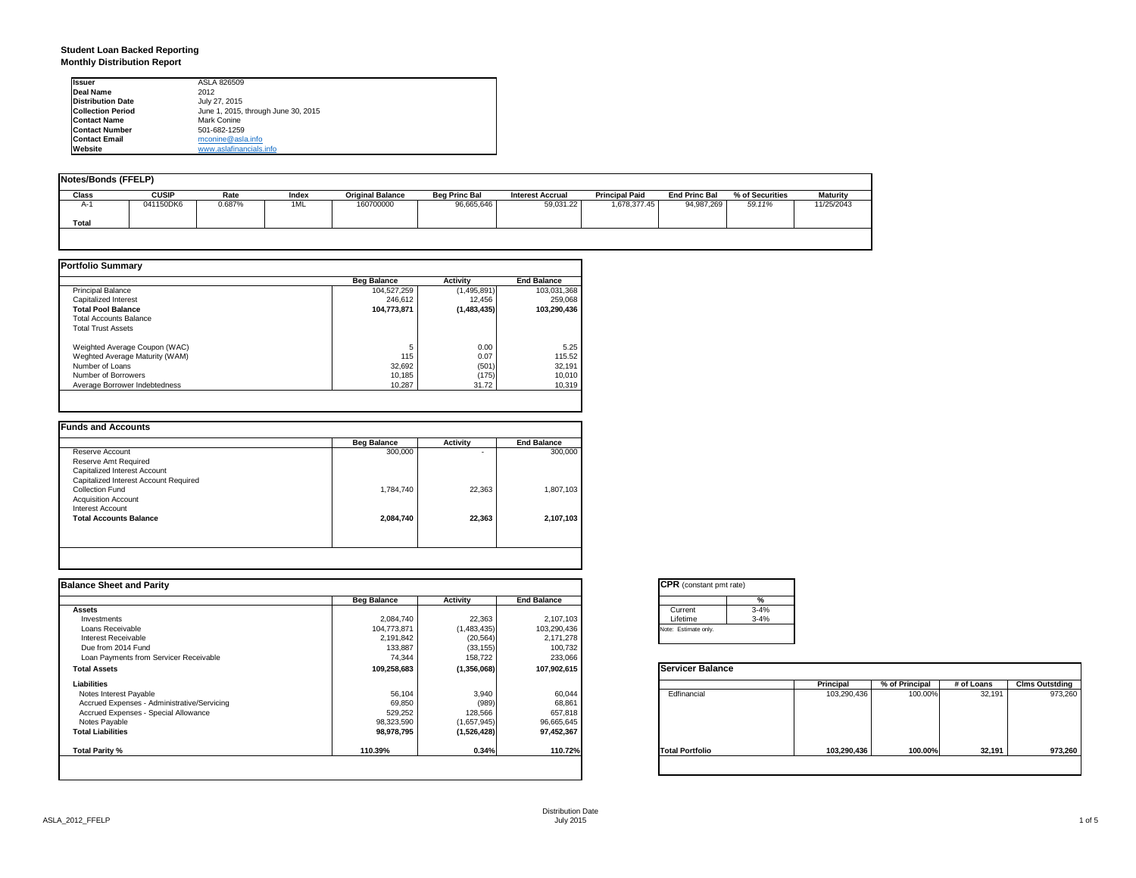#### **Student Loan Backed Reporting Monthly Distribution Report**

| <b>Issuer</b>            | ASLA 826509                         |
|--------------------------|-------------------------------------|
| Deal Name                | 2012                                |
| <b>Distribution Date</b> | July 27, 2015                       |
| <b>Collection Period</b> | June 1, 2015, through June 30, 2015 |
| <b>Contact Name</b>      | Mark Conine                         |
| <b>Contact Number</b>    | 501-682-1259                        |
| <b>Contact Email</b>     | mconine@asla.info                   |
| Website                  | www.aslafinancials.info             |

| <b>Notes/Bonds (FFELP)</b> |              |        |       |                         |                      |                         |                       |                      |                 |                 |
|----------------------------|--------------|--------|-------|-------------------------|----------------------|-------------------------|-----------------------|----------------------|-----------------|-----------------|
| <b>Class</b>               | <b>CUSIP</b> | Rate   | Index | <b>Original Balance</b> | <b>Beg Princ Bal</b> | <b>Interest Accrual</b> | <b>Principal Paid</b> | <b>End Princ Bal</b> | % of Securities | <b>Maturity</b> |
| $A-1$                      | 041150DK6    | 0.687% | 1ML   | 160700000               | 96,665,646           | 59,031.22               | 1,678,377.45          | 94,987,269           | 59.11%          | 11/25/2043      |
| Total                      |              |        |       |                         |                      |                         |                       |                      |                 |                 |
|                            |              |        |       |                         |                      |                         |                       |                      |                 |                 |

|                                | <b>Beg Balance</b> | <b>Activity</b> | <b>End Balance</b> |
|--------------------------------|--------------------|-----------------|--------------------|
| <b>Principal Balance</b>       | 104,527,259        | (1,495,891)     | 103,031,368        |
| Capitalized Interest           | 246.612            | 12.456          | 259,068            |
| <b>Total Pool Balance</b>      | 104.773.871        | (1,483,435)     | 103.290.436        |
| <b>Total Accounts Balance</b>  |                    |                 |                    |
| <b>Total Trust Assets</b>      |                    |                 |                    |
| Weighted Average Coupon (WAC)  | 5                  | 0.00            | 5.25               |
| Weghted Average Maturity (WAM) | 115                | 0.07            | 115.52             |
| Number of Loans                | 32,692             | (501)           | 32,191             |
| Number of Borrowers            | 10.185             | (175)           | 10,010             |
| Average Borrower Indebtedness  | 10.287             | 31.72           | 10,319             |

|                                       | <b>Beg Balance</b> | <b>Activity</b> | <b>End Balance</b> |
|---------------------------------------|--------------------|-----------------|--------------------|
| Reserve Account                       | 300,000            |                 | 300,000            |
| Reserve Amt Required                  |                    |                 |                    |
| Capitalized Interest Account          |                    |                 |                    |
| Capitalized Interest Account Required |                    |                 |                    |
| Collection Fund                       | 1.784.740          | 22.363          | 1,807,103          |
| <b>Acquisition Account</b>            |                    |                 |                    |
| Interest Account                      |                    |                 |                    |
| <b>Total Accounts Balance</b>         | 2,084,740          | 22.363          | 2,107,103          |
|                                       |                    |                 |                    |
|                                       |                    |                 |                    |
|                                       |                    |                 |                    |

| <b>Balance Sheet and Parity</b>             |                    |             |                    | <b>CPR</b> (constant pmt rate) |             |                |            |                       |
|---------------------------------------------|--------------------|-------------|--------------------|--------------------------------|-------------|----------------|------------|-----------------------|
|                                             | <b>Beg Balance</b> | Activity    | <b>End Balance</b> | %                              |             |                |            |                       |
| <b>Assets</b>                               |                    |             |                    | $3 - 4%$<br>Current            |             |                |            |                       |
| Investments                                 | 2,084,740          | 22,363      | 2,107,103          | Lifetime<br>$3 - 4%$           |             |                |            |                       |
| Loans Receivable                            | 104,773,871        | (1,483,435) | 103,290,436        | Note: Estimate only.           |             |                |            |                       |
| Interest Receivable                         | 2,191,842          | (20, 564)   | 2,171,278          |                                |             |                |            |                       |
| Due from 2014 Fund                          | 133,887            | (33, 155)   | 100,732            |                                |             |                |            |                       |
| Loan Payments from Servicer Receivable      | 74,344             | 158,722     | 233,066            |                                |             |                |            |                       |
| <b>Total Assets</b>                         | 109,258,683        | (1,356,068) | 107,902,615        | <b>Servicer Balance</b>        |             |                |            |                       |
| Liabilities                                 |                    |             |                    |                                | Principal   | % of Principal | # of Loans | <b>Clms Outstding</b> |
| Notes Interest Payable                      | 56,104             | 3,940       | 60,044             | Edfinancial                    | 103,290,436 | 100.00%        | 32,191     | 973,260               |
| Accrued Expenses - Administrative/Servicing | 69,850             | (989        | 68,861             |                                |             |                |            |                       |
| Accrued Expenses - Special Allowance        | 529,252            | 128,566     | 657,818            |                                |             |                |            |                       |
| Notes Payable                               | 98,323,590         | (1,657,945) | 96,665,645         |                                |             |                |            |                       |
| <b>Total Liabilities</b>                    | 98,978,795         | (1,526,428) | 97,452,367         |                                |             |                |            |                       |
| Total Parity %                              | 110.39%            | 0.34%       | 110.72%            | <b>Total Portfolio</b>         | 103,290,436 | 100.00%        | 32,191     | 973,260               |
|                                             |                    |             |                    |                                |             |                |            |                       |

|          | ℀        |
|----------|----------|
| Current  | $3 - 4%$ |
| Lifetime | $3 - 4%$ |

|                        | Principal   | % of Principal | # of Loans | <b>Clms Outstding</b> |
|------------------------|-------------|----------------|------------|-----------------------|
| Edfinancial            | 103,290,436 | 100.00%        | 32,191     | 973,260               |
| <b>Total Portfolio</b> | 103,290,436 | 100.00%        | 32,191     | 973,260               |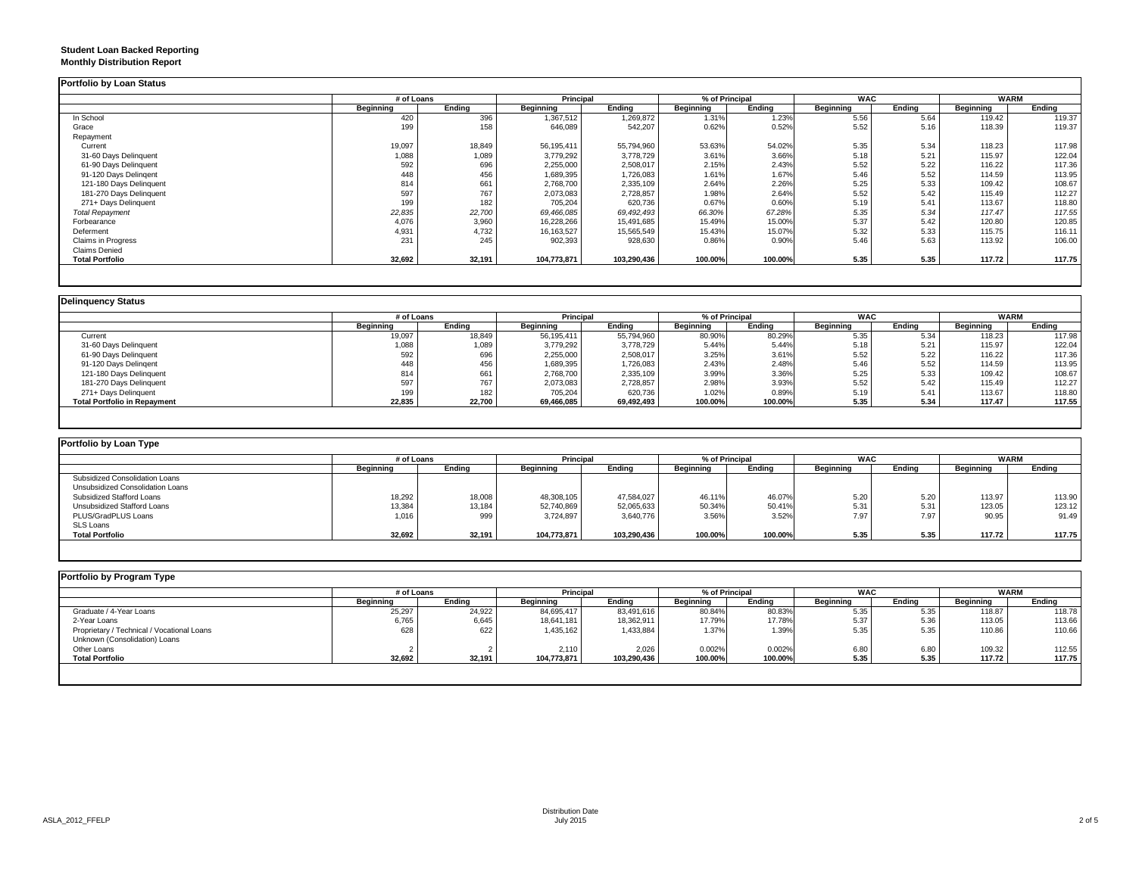#### **Student Loan Backed Reporting Monthly Distribution Report**

|                         |           | # of Loans |              | Principal     |           | % of Principal |           | <b>WAC</b> | <b>WARM</b> |        |
|-------------------------|-----------|------------|--------------|---------------|-----------|----------------|-----------|------------|-------------|--------|
|                         | Beginning | Ending     | Beginning    | <b>Ending</b> | Beginning | Ending         | Beginning | Ending     | Beginning   | Ending |
| In School               | 420       | 396        | ,367,512     | 1,269,872     | 1.31%     | 1.23%          | 5.56      | 5.64       | 119.42      | 119.37 |
| Grace                   | 199       | 158        | 646,089      | 542,207       | 0.62%     | 0.52%          | 5.52      | 5.16       | 118.39      | 119.37 |
| Repayment               |           |            |              |               |           |                |           |            |             |        |
| Current                 | 19,097    | 18,849     | 56,195,411   | 55,794,960    | 53.63%    | 54.02%         | 5.35      | 5.34       | 118.23      | 117.98 |
| 31-60 Days Delinquent   | 1,088     | 1,089      | 3,779,292    | 3,778,729     | 3.61%     | 3.66%          | 5.18      | 5.21       | 115.97      | 122.04 |
| 61-90 Days Delinquent   | 592       | 696        | 2,255,000    | 2,508,017     | 2.15%     | 2.43%          | 5.52      | 5.22       | 116.22      | 117.36 |
| 91-120 Days Delingent   | 448       | 456        | 1,689,395    | 1,726,083     | 1.61%     | 1.67%          | 5.46      | 5.52       | 114.59      | 113.95 |
| 121-180 Days Delinquent | 814       | 661        | 2,768,700    | 2,335,109     | 2.64%     | 2.26%          | 5.25      | 5.33       | 109.42      | 108.67 |
| 181-270 Days Delinquent | 597       | 767        | 2,073,083    | 2,728,857     | 1.98%     | 2.64%          | 5.52      | 5.42       | 115.49      | 112.27 |
| 271+ Days Delinquent    | 199       | 182        | 705,204      | 620,736       | 0.67%     | 0.60%          | 5.19      | 5.41       | 113.67      | 118.80 |
| <b>Total Repayment</b>  | 22,835    | 22,700     | 69,466,085   | 69,492,493    | 66.30%    | 67.28%         | 5.35      | 5.34       | 117.47      | 117.55 |
| Forbearance             | 4,076     | 3,960      | 16,228,266   | 15,491,685    | 15.49%    | 15.00%         | 5.37      | 5.42       | 120.80      | 120.85 |
| Deferment               | 4,931     | 4,732      | 16, 163, 527 | 15,565,549    | 15.43%    | 15.07%         | 5.32      | 5.33       | 115.75      | 116.11 |
| Claims in Progress      | 231       | 245        | 902,393      | 928,630       | 0.86%     | 0.90%          | 5.46      | 5.63       | 113.92      | 106.00 |
| <b>Claims Denied</b>    |           |            |              |               |           |                |           |            |             |        |
| <b>Total Portfolio</b>  | 32,692    | 32,191     | 104,773,871  | 103,290,436   | 100.00%   | 100.00%        | 5.35      | 5.35       | 117.72      | 117.75 |

|                                     |           | # of Loans |            | <b>Principal</b> |           | % of Principal |           | <b>WAC</b> | <b>WARM</b> |        |
|-------------------------------------|-----------|------------|------------|------------------|-----------|----------------|-----------|------------|-------------|--------|
|                                     | Beainnina | Ending     | Beainnina  | Ending           | Beginning | Ending         | Beginning | Endina     | Beginning   | Ending |
| Current                             | 19,097    | 18,849     | 56,195,411 | 55,794,960       | 80.90%    | 80.29%         | 5.35      | 5.34       | 118.23      | 117.98 |
| 31-60 Days Delinquent               | 1,088     | 1,089      | 3,779,292  | 3,778,729        | 5.44%     | 5.44%          | 5.18      | 5.21       | 115.97      | 122.04 |
| 61-90 Days Delinquent               | 592       | 696        | 2,255,000  | 2,508,017        | 3.25%     | 3.61%          | 5.52      | 5.22       | 116.22      | 117.36 |
| 91-120 Days Delingent               | 448       | 456        | 1,689,395  | 1,726,083        | 2.43%     | 2.48%          | 5.46      | 5.52       | 114.59      | 113.95 |
| 121-180 Days Delinquent             | 814       | 661        | 2,768,700  | 2,335,109        | 3.99%     | 3.36%          | 5.25      | 5.33       | 109.42      | 108.67 |
| 181-270 Days Delinquent             | 597       | 767        | 2,073,083  | 2,728,857        | 2.98%     | 3.93%          | 5.52      | 5.42       | 115.49      | 112.27 |
| 271+ Days Delinquent                | 199       | 182        | 705,204    | 620,736          | 1.02%     | 0.89%          | 5.19      | 5.41       | 113.67      | 118.80 |
| <b>Total Portfolio in Repayment</b> | 22,835    | 22,700     | 69,466,085 | 69,492,493       | 100.00%   | 100.00%        | 5.35      | 5.34       | 117.47      | 117.55 |

| Portfolio by Loan Type           |                  |        |                  |             |                |         |            |        |                  |        |
|----------------------------------|------------------|--------|------------------|-------------|----------------|---------|------------|--------|------------------|--------|
|                                  | # of Loans       |        | Principal        |             | % of Principal |         | <b>WAC</b> |        | <b>WARM</b>      |        |
|                                  | <b>Beginning</b> | Ending | <b>Beginning</b> | Endina      | Beainnina      | Ending  | Beginning  | Endina | <b>Beginning</b> | Ending |
| Subsidized Consolidation Loans   |                  |        |                  |             |                |         |            |        |                  |        |
| Unsubsidized Consolidation Loans |                  |        |                  |             |                |         |            |        |                  |        |
| Subsidized Stafford Loans        | 18,292           | 18,008 | 48,308,105       | 47,584,027  | 46.11%         | 46.07%  | 5.20       | 5.20   | 113.97           | 113.90 |
| Unsubsidized Stafford Loans      | 13,384           | 13,184 | 52,740,869       | 52,065,633  | 50.34%         | 50.41%  | 5.31       | 5.31   | 123.05           | 123.12 |
| PLUS/GradPLUS Loans              | 1,016            | 999    | 3,724,897        | 3,640,776   | 3.56%          | 3.52%   | 7.97       | 7.97   | 90.95            | 91.49  |
| SLS Loans                        |                  |        |                  |             |                |         |            |        |                  |        |
| <b>Total Portfolio</b>           | 32,692           | 32.191 | 104.773.871      | 103.290.436 | 100.00%        | 100.00% | 5.35       | 5.35   | 117.72           | 117.75 |

|                                            |           | # of Loans |             | <b>Principal</b> |                  | % of Principal |                  | <b>WAC</b> |                  | <b>WARM</b> |  |
|--------------------------------------------|-----------|------------|-------------|------------------|------------------|----------------|------------------|------------|------------------|-------------|--|
|                                            | Beginning | Endina     | Beainnina   | Endina           | <b>Beginning</b> | Ending         | <b>Beginning</b> | Endina     | <b>Beginning</b> | Ending      |  |
| Graduate / 4-Year Loans                    | 25,297    | 24,922     | 84,695,417  | 83,491,616       | 80.84%           | 80.83%         | 5.35             | 5.35       | 118.87           | 118.78      |  |
| 2-Year Loans                               | 6,765     | 6,645      | 18,641,181  | 18,362,911       | 17.79%           | 17.78%         | 5.37             | 5.36       | 113.05           | 113.66      |  |
| Proprietary / Technical / Vocational Loans | 628       | 622        | 1,435,162   | 1,433,884        | 1.37%            | 1.39%          | 5.35             | 5.35       | 110.86           | 110.66      |  |
| Unknown (Consolidation) Loans              |           |            |             |                  |                  |                |                  |            |                  |             |  |
| Other Loans                                |           |            | 2,110       | 2,026            | 0.002%           | 0.002%         | 6.80             | 6.80       | 109.32           | 112.55      |  |
| <b>Total Portfolio</b>                     | 32,692    | 32,191     | 104,773,871 | 103,290,436      | 100.00%          | 100.00%        | 5.35             | 5.35       | 117.72           | 117.75      |  |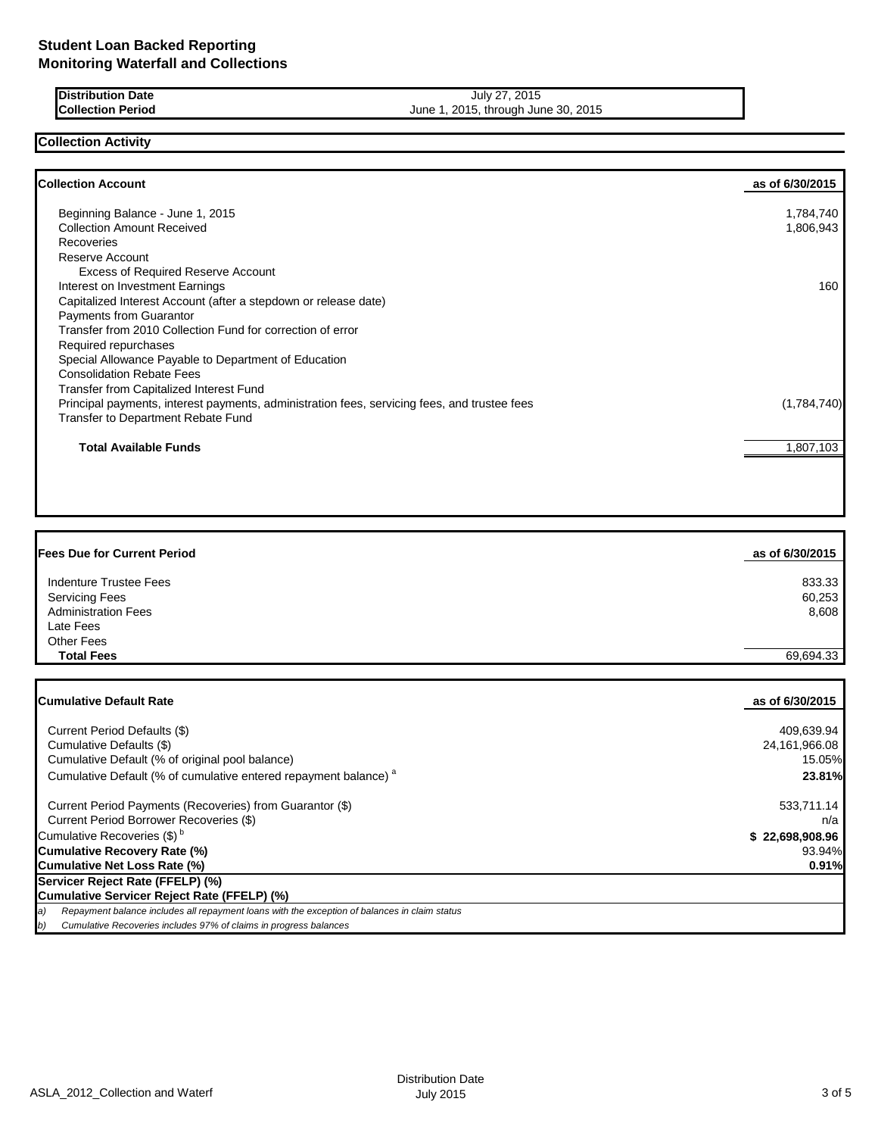| <b>IDistribution Date</b> | July 27, 2015                       |
|---------------------------|-------------------------------------|
| <b>Collection Period</b>  | June 1, 2015, through June 30, 2015 |

# **Collection Activity**

Г

| <b>Collection Account</b>                                                                    | as of 6/30/2015 |
|----------------------------------------------------------------------------------------------|-----------------|
| Beginning Balance - June 1, 2015                                                             | 1,784,740       |
| <b>Collection Amount Received</b>                                                            | 1,806,943       |
| Recoveries                                                                                   |                 |
| Reserve Account                                                                              |                 |
| <b>Excess of Required Reserve Account</b>                                                    |                 |
| Interest on Investment Earnings                                                              | 160             |
| Capitalized Interest Account (after a stepdown or release date)                              |                 |
| Payments from Guarantor                                                                      |                 |
| Transfer from 2010 Collection Fund for correction of error                                   |                 |
| Required repurchases                                                                         |                 |
| Special Allowance Payable to Department of Education                                         |                 |
| <b>Consolidation Rebate Fees</b>                                                             |                 |
| <b>Transfer from Capitalized Interest Fund</b>                                               |                 |
| Principal payments, interest payments, administration fees, servicing fees, and trustee fees | (1,784,740)     |
| Transfer to Department Rebate Fund                                                           |                 |
| <b>Total Available Funds</b>                                                                 | 1,807,103       |
|                                                                                              |                 |
|                                                                                              |                 |

| <b>Fees Due for Current Period</b> | as of 6/30/2015 |
|------------------------------------|-----------------|
| Indenture Trustee Fees             | 833.33          |
| <b>Servicing Fees</b>              | 60,253          |
| <b>Administration Fees</b>         | 8,608           |
| Late Fees                          |                 |
| <b>Other Fees</b>                  |                 |
| <b>Total Fees</b>                  | 69.694.33       |

| <b>ICumulative Default Rate</b>                                                                      | as of 6/30/2015 |
|------------------------------------------------------------------------------------------------------|-----------------|
| Current Period Defaults (\$)                                                                         | 409,639.94      |
| Cumulative Defaults (\$)                                                                             | 24,161,966.08   |
| Cumulative Default (% of original pool balance)                                                      | 15.05%          |
| Cumulative Default (% of cumulative entered repayment balance) <sup>a</sup>                          | 23.81%          |
| Current Period Payments (Recoveries) from Guarantor (\$)                                             | 533,711.14      |
| Current Period Borrower Recoveries (\$)                                                              | n/a             |
| Cumulative Recoveries (\$) <sup>b</sup>                                                              | \$22,698,908.96 |
| Cumulative Recovery Rate (%)                                                                         | 93.94%          |
| <b>Cumulative Net Loss Rate (%)</b>                                                                  | 0.91%           |
| Servicer Reject Rate (FFELP) (%)                                                                     |                 |
| Cumulative Servicer Reject Rate (FFELP) (%)                                                          |                 |
| Repayment balance includes all repayment loans with the exception of balances in claim status<br>(a) |                 |
| Cumulative Recoveries includes 97% of claims in progress balances<br>b)                              |                 |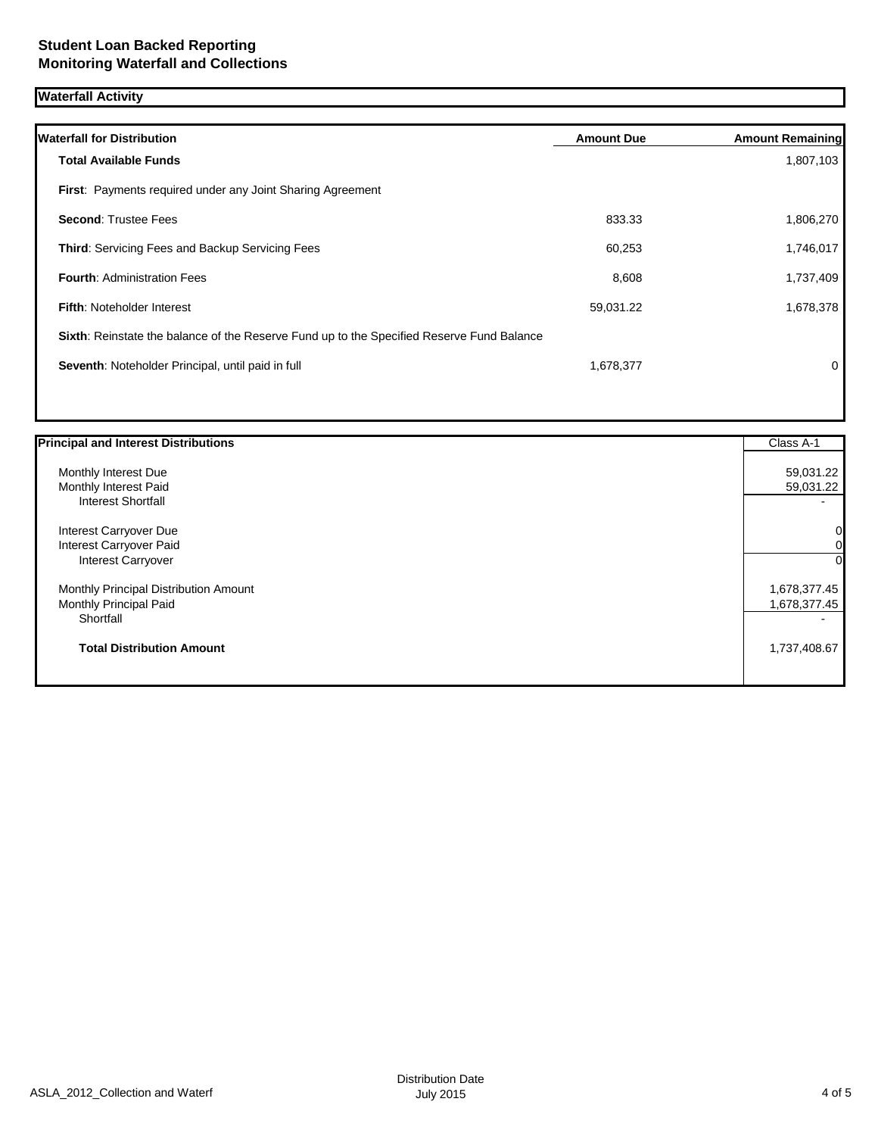# **Waterfall Activity**

| <b>Waterfall for Distribution</b>                                                         | <b>Amount Due</b> | <b>Amount Remaining</b> |
|-------------------------------------------------------------------------------------------|-------------------|-------------------------|
| <b>Total Available Funds</b>                                                              |                   | 1,807,103               |
| <b>First:</b> Payments required under any Joint Sharing Agreement                         |                   |                         |
| <b>Second: Trustee Fees</b>                                                               | 833.33            | 1,806,270               |
| <b>Third:</b> Servicing Fees and Backup Servicing Fees                                    | 60,253            | 1,746,017               |
| <b>Fourth: Administration Fees</b>                                                        | 8,608             | 1,737,409               |
| <b>Fifth: Noteholder Interest</b>                                                         | 59,031.22         | 1,678,378               |
| Sixth: Reinstate the balance of the Reserve Fund up to the Specified Reserve Fund Balance |                   |                         |
| Seventh: Noteholder Principal, until paid in full                                         | 1,678,377         | $\Omega$                |
|                                                                                           |                   |                         |

| <b>Principal and Interest Distributions</b> | Class A-1    |
|---------------------------------------------|--------------|
| Monthly Interest Due                        | 59,031.22    |
| Monthly Interest Paid                       | 59,031.22    |
| <b>Interest Shortfall</b>                   |              |
| Interest Carryover Due                      | $\mathbf{0}$ |
| Interest Carryover Paid                     | ΟI           |
| Interest Carryover                          | $\Omega$     |
| Monthly Principal Distribution Amount       | 1,678,377.45 |
| Monthly Principal Paid                      | 1,678,377.45 |
| Shortfall                                   |              |
| <b>Total Distribution Amount</b>            | 1,737,408.67 |
|                                             |              |